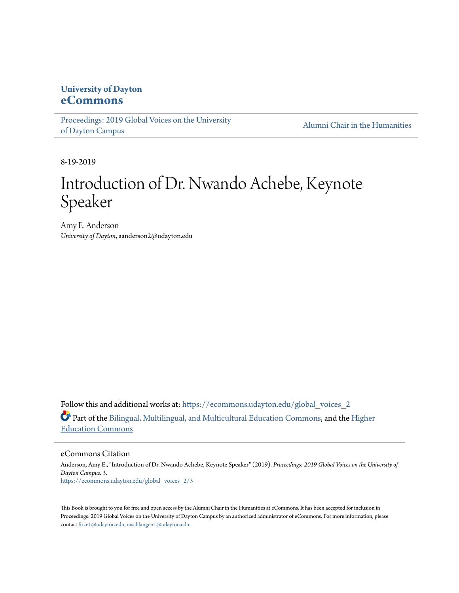## **University of Dayton [eCommons](https://ecommons.udayton.edu/?utm_source=ecommons.udayton.edu%2Fglobal_voices_2%2F3&utm_medium=PDF&utm_campaign=PDFCoverPages)**

[Proceedings: 2019 Global Voices on the University](https://ecommons.udayton.edu/global_voices_2?utm_source=ecommons.udayton.edu%2Fglobal_voices_2%2F3&utm_medium=PDF&utm_campaign=PDFCoverPages) [of Dayton Campus](https://ecommons.udayton.edu/global_voices_2?utm_source=ecommons.udayton.edu%2Fglobal_voices_2%2F3&utm_medium=PDF&utm_campaign=PDFCoverPages)

[Alumni Chair in the Humanities](https://ecommons.udayton.edu/alumni_chair?utm_source=ecommons.udayton.edu%2Fglobal_voices_2%2F3&utm_medium=PDF&utm_campaign=PDFCoverPages)

8-19-2019

## Introduction of Dr. Nwando Achebe, Keynote Speaker

Amy E. Anderson *University of Dayton*, aanderson2@udayton.edu

Follow this and additional works at: [https://ecommons.udayton.edu/global\\_voices\\_2](https://ecommons.udayton.edu/global_voices_2?utm_source=ecommons.udayton.edu%2Fglobal_voices_2%2F3&utm_medium=PDF&utm_campaign=PDFCoverPages) Part of the [Bilingual, Multilingual, and Multicultural Education Commons](http://network.bepress.com/hgg/discipline/785?utm_source=ecommons.udayton.edu%2Fglobal_voices_2%2F3&utm_medium=PDF&utm_campaign=PDFCoverPages), and the [Higher](http://network.bepress.com/hgg/discipline/1245?utm_source=ecommons.udayton.edu%2Fglobal_voices_2%2F3&utm_medium=PDF&utm_campaign=PDFCoverPages) [Education Commons](http://network.bepress.com/hgg/discipline/1245?utm_source=ecommons.udayton.edu%2Fglobal_voices_2%2F3&utm_medium=PDF&utm_campaign=PDFCoverPages)

eCommons Citation

Anderson, Amy E., "Introduction of Dr. Nwando Achebe, Keynote Speaker" (2019). *Proceedings: 2019 Global Voices on the University of Dayton Campus*. 3. [https://ecommons.udayton.edu/global\\_voices\\_2/3](https://ecommons.udayton.edu/global_voices_2/3?utm_source=ecommons.udayton.edu%2Fglobal_voices_2%2F3&utm_medium=PDF&utm_campaign=PDFCoverPages)

This Book is brought to you for free and open access by the Alumni Chair in the Humanities at eCommons. It has been accepted for inclusion in Proceedings: 2019 Global Voices on the University of Dayton Campus by an authorized administrator of eCommons. For more information, please contact [frice1@udayton.edu, mschlangen1@udayton.edu.](mailto:frice1@udayton.edu,%20mschlangen1@udayton.edu)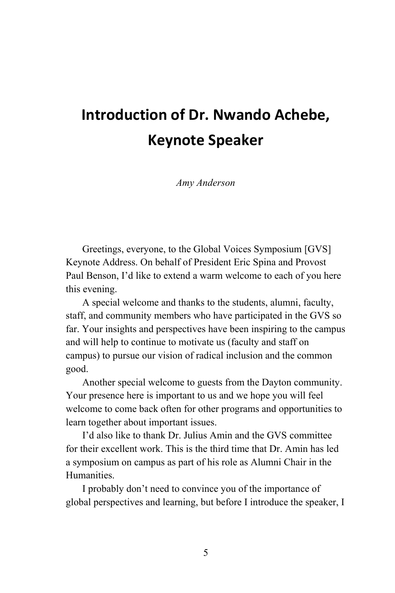## **Introduction of Dr. Nwando Achebe, Keynote Speaker**

*Amy Anderson*

Greetings, everyone, to the Global Voices Symposium [GVS] Keynote Address. On behalf of President Eric Spina and Provost Paul Benson, I'd like to extend a warm welcome to each of you here this evening.

A special welcome and thanks to the students, alumni, faculty, staff, and community members who have participated in the GVS so far. Your insights and perspectives have been inspiring to the campus and will help to continue to motivate us (faculty and staff on campus) to pursue our vision of radical inclusion and the common good.

Another special welcome to guests from the Dayton community. Your presence here is important to us and we hope you will feel welcome to come back often for other programs and opportunities to learn together about important issues.

I'd also like to thank Dr. Julius Amin and the GVS committee for their excellent work. This is the third time that Dr. Amin has led a symposium on campus as part of his role as Alumni Chair in the Humanities.

I probably don't need to convince you of the importance of global perspectives and learning, but before I introduce the speaker, I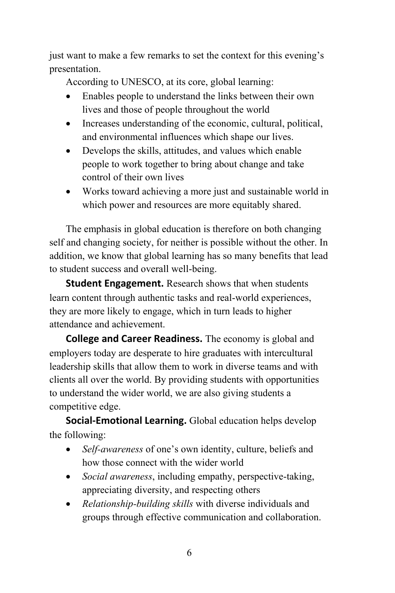just want to make a few remarks to set the context for this evening's presentation.

According to UNESCO, at its core, global learning:

- Enables people to understand the links between their own lives and those of people throughout the world
- Increases understanding of the economic, cultural, political, and environmental influences which shape our lives.
- Develops the skills, attitudes, and values which enable people to work together to bring about change and take control of their own lives
- Works toward achieving a more just and sustainable world in which power and resources are more equitably shared.

The emphasis in global education is therefore on both changing self and changing society, for neither is possible without the other. In addition, we know that global learning has so many benefits that lead to student success and overall well-being.

**Student Engagement.** Research shows that when students learn content through authentic tasks and real-world experiences, they are more likely to engage, which in turn leads to higher attendance and achievement.

**College and Career Readiness.** The economy is global and employers today are desperate to hire graduates with intercultural leadership skills that allow them to work in diverse teams and with clients all over the world. By providing students with opportunities to understand the wider world, we are also giving students a competitive edge.

**Social-Emotional Learning.** Global education helps develop the following:

- *Self-awareness* of one's own identity, culture, beliefs and how those connect with the wider world
- *Social awareness*, including empathy, perspective-taking, appreciating diversity, and respecting others
- *Relationship-building skills* with diverse individuals and groups through effective communication and collaboration.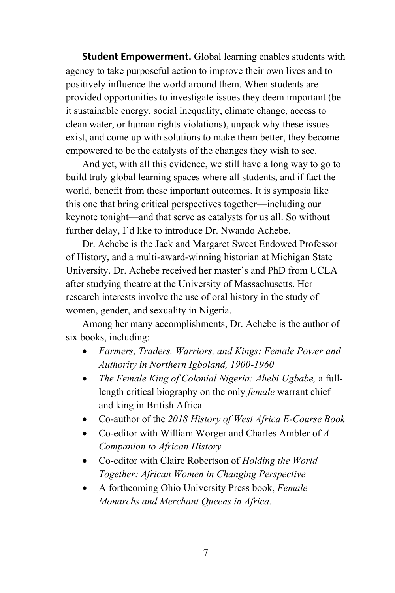**Student Empowerment.** Global learning enables students with agency to take purposeful action to improve their own lives and to positively influence the world around them. When students are provided opportunities to investigate issues they deem important (be it sustainable energy, social inequality, climate change, access to clean water, or human rights violations), unpack why these issues exist, and come up with solutions to make them better, they become empowered to be the catalysts of the changes they wish to see.

And yet, with all this evidence, we still have a long way to go to build truly global learning spaces where all students, and if fact the world, benefit from these important outcomes. It is symposia like this one that bring critical perspectives together—including our keynote tonight—and that serve as catalysts for us all. So without further delay, I'd like to introduce Dr. Nwando Achebe.

Dr. Achebe is the Jack and Margaret Sweet Endowed Professor of History, and a multi-award-winning historian at Michigan State University. Dr. Achebe received her master's and PhD from UCLA after studying theatre at the University of Massachusetts. Her research interests involve the use of oral history in the study of women, gender, and sexuality in Nigeria.

Among her many accomplishments, Dr. Achebe is the author of six books, including:

- *Farmers, Traders, Warriors, and Kings: Female Power and Authority in Northern Igboland, 1900-1960*
- *The Female King of Colonial Nigeria: Ahebi Ugbabe,* a fulllength critical biography on the only *female* warrant chief and king in British Africa
- Co-author of the *2018 History of West Africa E-Course Book*
- Co-editor with William Worger and Charles Ambler of *A Companion to African History*
- Co-editor with Claire Robertson of *Holding the World Together: African Women in Changing Perspective*
- A forthcoming Ohio University Press book, *Female Monarchs and Merchant Queens in Africa*.